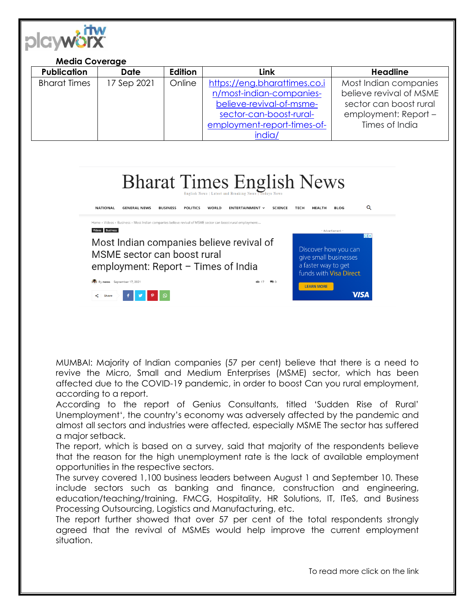

| <b>Media Coverage</b>                                                                                                                                                                                                                                                                                                                                                                     |             |                |                                                                                                                                                          |                                                                                                                      |
|-------------------------------------------------------------------------------------------------------------------------------------------------------------------------------------------------------------------------------------------------------------------------------------------------------------------------------------------------------------------------------------------|-------------|----------------|----------------------------------------------------------------------------------------------------------------------------------------------------------|----------------------------------------------------------------------------------------------------------------------|
| <b>Publication</b>                                                                                                                                                                                                                                                                                                                                                                        | Date        | <b>Edition</b> | <b>Link</b>                                                                                                                                              | <b>Headline</b>                                                                                                      |
| <b>Bharat Times</b>                                                                                                                                                                                                                                                                                                                                                                       | 17 Sep 2021 | Online         | https://eng.bharattimes.co.i<br>n/most-indian-companies-<br>believe-revival-of-msme-<br>sector-can-boost-rural-<br>employment-report-times-of-<br>india/ | Most Indian companies<br>believe revival of MSME<br>sector can boost rural<br>employment: Report -<br>Times of India |
| <b>Bharat Times English News</b><br>English News   Latest and Breaking News   Todays News<br>Q<br><b>NATIONAL</b><br><b>GENERAL NEWS</b><br><b>BUSINESS</b><br><b>POLITICS</b><br>WORLD<br>ENTERTAINMENT Y<br><b>SCIENCE</b><br><b>HEALTH</b><br><b>BLOG</b><br><b>TECH</b><br>Home > Videos > Business > Most Indian companies believe revival of MSME sector can boost rural employment |             |                |                                                                                                                                                          |                                                                                                                      |

Most Indian companies believe revival of

employment: Report - Times of India

MSME sector can boost rural

 $\mathcal{P}$   $\mathcal{P}$   $\mathcal{Q}$ 

By news September 17, 2021

 $\leq$  Share  $\geq$ 

MUMBAI: Majority of Indian companies (57 per cent) believe that there is a need to revive the Micro, Small and Medium Enterprises (MSME) sector, which has been affected due to the COVID-19 pandemic, in order to boost Can you rural employment, according to a report.

 $6217 - 100$ 

According to the report of Genius Consultants, titled 'Sudden Rise of Rural' Unemployment', the country's economy was adversely affected by the pandemic and almost all sectors and industries were affected, especially MSME The sector has suffered a major setback.

The report, which is based on a survey, said that majority of the respondents believe that the reason for the high unemployment rate is the lack of available employment opportunities in the respective sectors.

The survey covered 1,100 business leaders between August 1 and September 10. These include sectors such as banking and finance, construction and engineering, education/teaching/training. FMCG, Hospitality, HR Solutions, IT, ITeS, and Business Processing Outsourcing, Logistics and Manufacturing, etc.

The report further showed that over 57 per cent of the total respondents strongly agreed that the revival of MSMEs would help improve the current employment situation.

To read more click on the link

Discover how you can

give small businesses

**VISA** 

a faster way to get funds with Visa Direct.